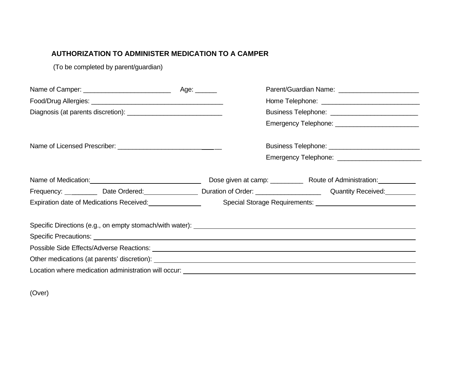# **AUTHORIZATION TO ADMINISTER MEDICATION TO A CAMPER**

(To be completed by parent/guardian)

|                                                                                                                                                                                                                                | Parent/Guardian Name: ___________________________ |                                                  |  |
|--------------------------------------------------------------------------------------------------------------------------------------------------------------------------------------------------------------------------------|---------------------------------------------------|--------------------------------------------------|--|
|                                                                                                                                                                                                                                |                                                   | Home Telephone: ________________________________ |  |
|                                                                                                                                                                                                                                |                                                   | Business Telephone: ___________________________  |  |
|                                                                                                                                                                                                                                |                                                   |                                                  |  |
|                                                                                                                                                                                                                                |                                                   |                                                  |  |
|                                                                                                                                                                                                                                |                                                   |                                                  |  |
| Name of Medication: Manual Manual Manual Manual Manual Manual Manual Manual Manual Manual Manual Manual Manual                                                                                                                 |                                                   |                                                  |  |
| Frequency: ___________ Date Ordered: _________________ Duration of Order: _________________________ Quantity Received: _________                                                                                               |                                                   |                                                  |  |
| Expiration date of Medications Received:<br><u>Expiration</u>                                                                                                                                                                  |                                                   |                                                  |  |
|                                                                                                                                                                                                                                |                                                   |                                                  |  |
|                                                                                                                                                                                                                                |                                                   |                                                  |  |
| Other medications (at parents' discretion): example and the set of the set of the set of the set of the set of the set of the set of the set of the set of the set of the set of the set of the set of the set of the set of t |                                                   |                                                  |  |
|                                                                                                                                                                                                                                |                                                   |                                                  |  |

(Over)